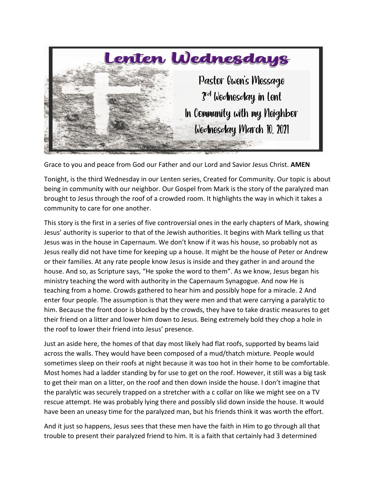

Grace to you and peace from God our Father and our Lord and Savior Jesus Christ. **AMEN**

Tonight, is the third Wednesday in our Lenten series, Created for Community. Our topic is about being in community with our neighbor. Our Gospel from Mark is the story of the paralyzed man brought to Jesus through the roof of a crowded room. It highlights the way in which it takes a community to care for one another.

This story is the first in a series of five controversial ones in the early chapters of Mark, showing Jesus' authority is superior to that of the Jewish authorities. It begins with Mark telling us that Jesus was in the house in Capernaum. We don't know if it was his house, so probably not as Jesus really did not have time for keeping up a house. It might be the house of Peter or Andrew or their families. At any rate people know Jesus is inside and they gather in and around the house. And so, as Scripture says, "He spoke the word to them". As we know, Jesus began his ministry teaching the word with authority in the Capernaum Synagogue. And now He is teaching from a home. Crowds gathered to hear him and possibly hope for a miracle. 2 And enter four people. The assumption is that they were men and that were carrying a paralytic to him. Because the front door is blocked by the crowds, they have to take drastic measures to get their friend on a litter and lower him down to Jesus. Being extremely bold they chop a hole in the roof to lower their friend into Jesus' presence.

Just an aside here, the homes of that day most likely had flat roofs, supported by beams laid across the walls. They would have been composed of a mud/thatch mixture. People would sometimes sleep on their roofs at night because it was too hot in their home to be comfortable. Most homes had a ladder standing by for use to get on the roof. However, it still was a big task to get their man on a litter, on the roof and then down inside the house. I don't imagine that the paralytic was securely trapped on a stretcher with a c collar on like we might see on a TV rescue attempt. He was probably lying there and possibly slid down inside the house. It would have been an uneasy time for the paralyzed man, but his friends think it was worth the effort.

And it just so happens, Jesus sees that these men have the faith in Him to go through all that trouble to present their paralyzed friend to him. It is a faith that certainly had 3 determined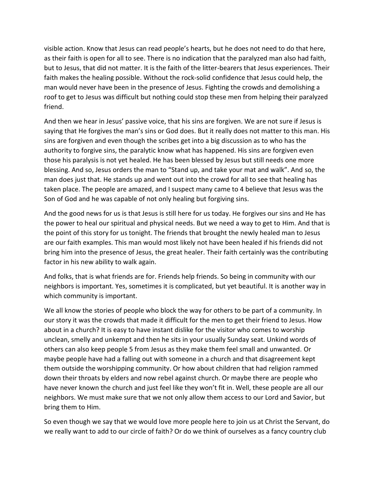visible action. Know that Jesus can read people's hearts, but he does not need to do that here, as their faith is open for all to see. There is no indication that the paralyzed man also had faith, but to Jesus, that did not matter. It is the faith of the litter-bearers that Jesus experiences. Their faith makes the healing possible. Without the rock-solid confidence that Jesus could help, the man would never have been in the presence of Jesus. Fighting the crowds and demolishing a roof to get to Jesus was difficult but nothing could stop these men from helping their paralyzed friend.

And then we hear in Jesus' passive voice, that his sins are forgiven. We are not sure if Jesus is saying that He forgives the man's sins or God does. But it really does not matter to this man. His sins are forgiven and even though the scribes get into a big discussion as to who has the authority to forgive sins, the paralytic know what has happened. His sins are forgiven even those his paralysis is not yet healed. He has been blessed by Jesus but still needs one more blessing. And so, Jesus orders the man to "Stand up, and take your mat and walk". And so, the man does just that. He stands up and went out into the crowd for all to see that healing has taken place. The people are amazed, and I suspect many came to 4 believe that Jesus was the Son of God and he was capable of not only healing but forgiving sins.

And the good news for us is that Jesus is still here for us today. He forgives our sins and He has the power to heal our spiritual and physical needs. But we need a way to get to Him. And that is the point of this story for us tonight. The friends that brought the newly healed man to Jesus are our faith examples. This man would most likely not have been healed if his friends did not bring him into the presence of Jesus, the great healer. Their faith certainly was the contributing factor in his new ability to walk again.

And folks, that is what friends are for. Friends help friends. So being in community with our neighbors is important. Yes, sometimes it is complicated, but yet beautiful. It is another way in which community is important.

We all know the stories of people who block the way for others to be part of a community. In our story it was the crowds that made it difficult for the men to get their friend to Jesus. How about in a church? It is easy to have instant dislike for the visitor who comes to worship unclean, smelly and unkempt and then he sits in your usually Sunday seat. Unkind words of others can also keep people 5 from Jesus as they make them feel small and unwanted. Or maybe people have had a falling out with someone in a church and that disagreement kept them outside the worshipping community. Or how about children that had religion rammed down their throats by elders and now rebel against church. Or maybe there are people who have never known the church and just feel like they won't fit in. Well, these people are all our neighbors. We must make sure that we not only allow them access to our Lord and Savior, but bring them to Him.

So even though we say that we would love more people here to join us at Christ the Servant, do we really want to add to our circle of faith? Or do we think of ourselves as a fancy country club